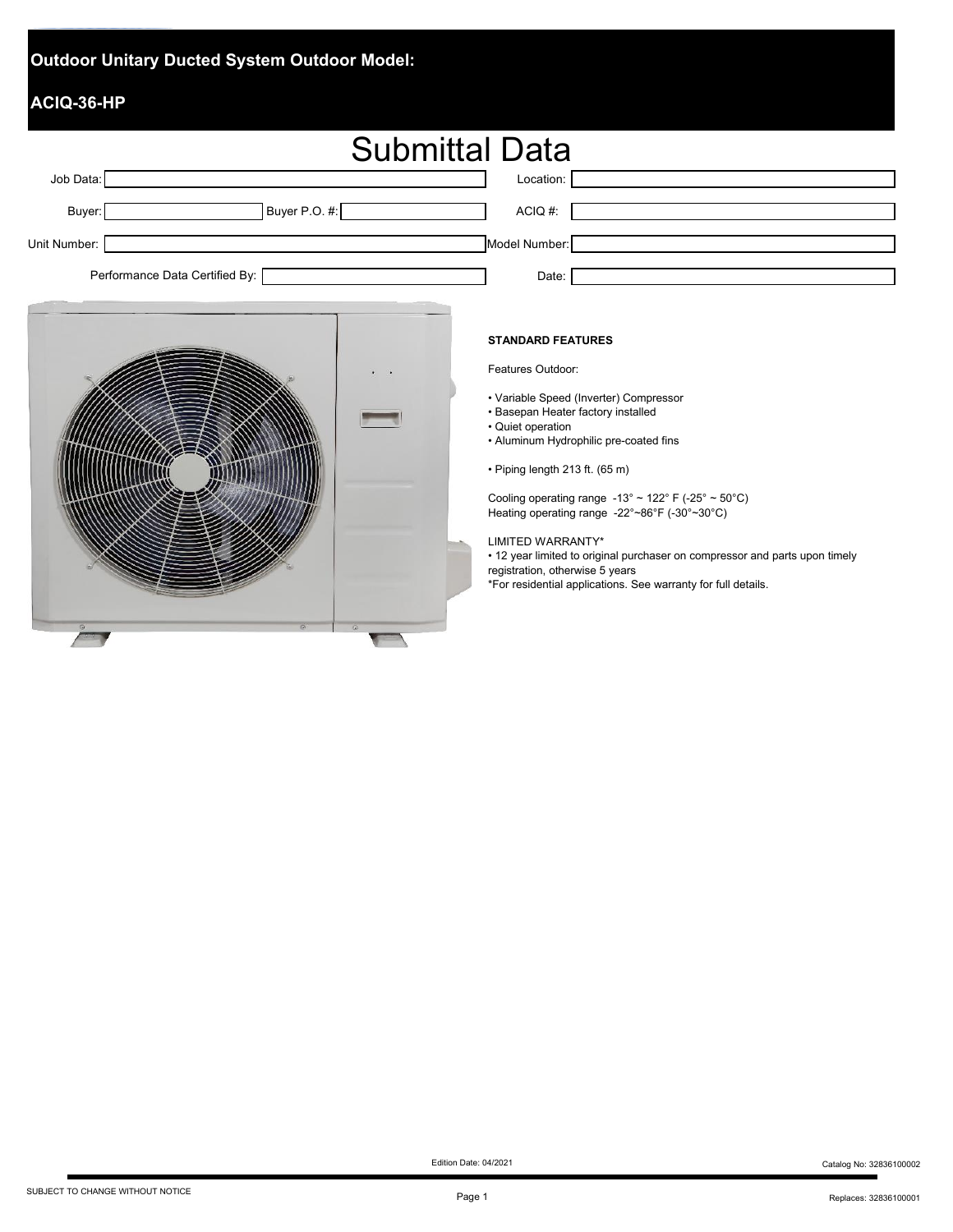### **Outdoor Unitary Ducted System Outdoor Model:**

### **ACIQ-36-HP**

|                                | <b>Submittal Data</b> |                                               |  |  |  |  |
|--------------------------------|-----------------------|-----------------------------------------------|--|--|--|--|
| Job Data:                      |                       | Location:                                     |  |  |  |  |
| Buyer:                         | Buyer P.O. #:         | ACIQ #:                                       |  |  |  |  |
| Unit Number:                   |                       | Model Number:                                 |  |  |  |  |
| Performance Data Certified By: |                       | Date:                                         |  |  |  |  |
| $\cdot$ $\cdot$                |                       | <b>STANDARD FEATURES</b><br>Features Outdoor: |  |  |  |  |

- Variable Speed (Inverter) Compressor
- Basepan Heater factory installed
- Quiet operation
- Aluminum Hydrophilic pre-coated fins
- Piping length 213 ft. (65 m)

Cooling operating range  $-13^{\circ} \sim 122^{\circ}$  F ( $-25^{\circ} \sim 50^{\circ}$ C) Heating operating range -22°~86°F (-30°~30°C)

LIMITED WARRANTY\*

• 12 year limited to original purchaser on compressor and parts upon timely

registration, otherwise 5 years

\*For residential applications. See warranty for full details.



Page 1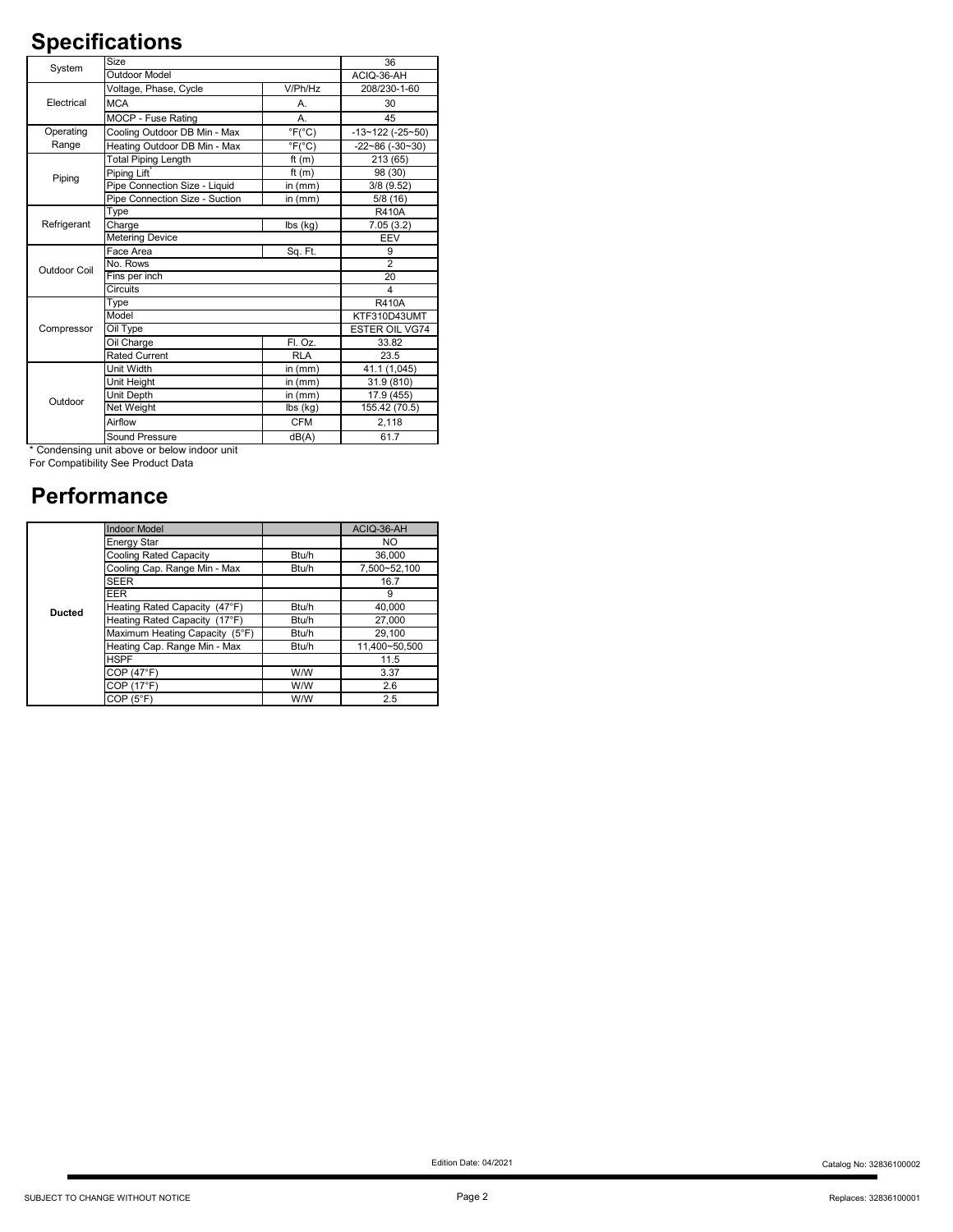# **Specifications**

| System       | Size                           |                               | 36                         |
|--------------|--------------------------------|-------------------------------|----------------------------|
|              | <b>Outdoor Model</b>           |                               | ACIQ-36-AH                 |
|              | Voltage, Phase, Cycle          | V/Ph/Hz                       | 208/230-1-60               |
| Electrical   | <b>MCA</b>                     | Α.                            | 30                         |
|              | MOCP - Fuse Rating             | А.                            | 45                         |
| Operating    | Cooling Outdoor DB Min - Max   | $\degree$ F( $\degree$ C)     | $-13 - 122$ ( $-25 - 50$ ) |
| Range        | Heating Outdoor DB Min - Max   | $\overline{F(^{\circ}C)}$     | $-22 - 86 (-30 - 30)$      |
|              | <b>Total Piping Length</b>     | ft $(m)$                      | 213 (65)                   |
| Piping       | Piping Lift                    | ft $(m)$                      | 98 (30)                    |
|              | Pipe Connection Size - Liquid  | in $(mm)$                     | 3/8(9.52)                  |
|              | Pipe Connection Size - Suction | in $(mm)$                     | 5/8(16)                    |
|              | Type                           |                               | <b>R410A</b>               |
| Refrigerant  | Charge                         | lbs (kg)                      | 7.05(3.2)                  |
|              | <b>Metering Device</b>         |                               | EEV                        |
|              | Face Area                      | Sq. Ft.                       | 9                          |
| Outdoor Coil | No. Rows                       |                               | $\overline{2}$             |
|              | Fins per inch                  |                               | 20                         |
|              | Circuits                       |                               | 4                          |
|              | Type                           |                               | <b>R410A</b>               |
|              | Model                          |                               | KTF310D43UMT               |
| Compressor   | Oil Type                       |                               | <b>ESTER OIL VG74</b>      |
|              | Oil Charge                     | FI. Oz.                       | 33.82                      |
|              | <b>Rated Current</b>           | <b>RLA</b>                    | 23.5                       |
|              | Unit Width                     | in $(mm)$                     | 41.1 (1,045)               |
|              | Unit Height                    | in $(mm)$                     | 31.9 (810)                 |
| Outdoor      | Unit Depth                     | in $(mm)$                     | 17.9 (455)                 |
|              | Net Weight                     | $\overline{\text{I}}$ bs (kg) | 155.42 (70.5)              |
|              | Airflow                        | <b>CFM</b>                    | 2,118                      |
|              | Sound Pressure                 | dB(A)                         | 61.7                       |

\* Condensing unit above or below indoor unit

For Compatibility See Product Data

### **Performance**

|               | <b>Indoor Model</b>            |       | ACIQ-36-AH    |
|---------------|--------------------------------|-------|---------------|
|               | <b>Energy Star</b>             |       | NO.           |
|               | Cooling Rated Capacity         | Btu/h | 36,000        |
|               | Cooling Cap. Range Min - Max   | Btu/h | 7.500~52.100  |
|               | <b>SEER</b>                    |       | 16.7          |
|               | <b>EER</b>                     |       | 9             |
| <b>Ducted</b> | Heating Rated Capacity (47°F)  | Btu/h | 40,000        |
|               | Heating Rated Capacity (17°F)  | Btu/h | 27,000        |
|               | Maximum Heating Capacity (5°F) | Btu/h | 29.100        |
|               | Heating Cap. Range Min - Max   | Btu/h | 11.400~50.500 |
|               | <b>HSPF</b>                    |       | 11.5          |
|               | COP (47°F)                     | W/W   | 3.37          |
|               | COP (17°F)                     | W/W   | 2.6           |
|               | COP(5 <sup>°</sup> F)          | W/W   | 2.5           |

Edition Date: 04/2021